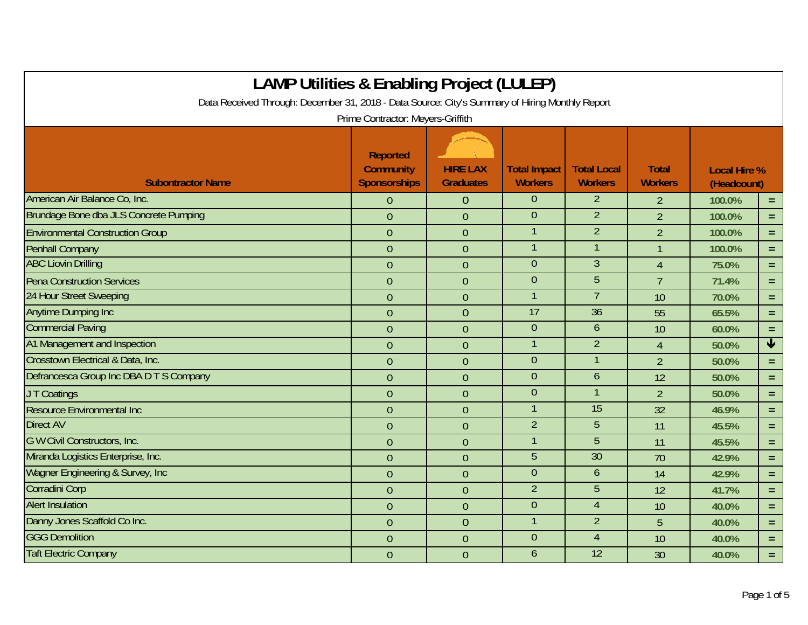| <b>LAMP Utilities &amp; Enabling Project (LULEP)</b><br>Data Received Through: December 31, 2018 - Data Source: City's Summary of Hiring Monthly Report |                                                            |                                     |                                       |                                      |                                |                                    |                         |  |  |
|---------------------------------------------------------------------------------------------------------------------------------------------------------|------------------------------------------------------------|-------------------------------------|---------------------------------------|--------------------------------------|--------------------------------|------------------------------------|-------------------------|--|--|
| Prime Contractor: Meyers-Griffith                                                                                                                       |                                                            |                                     |                                       |                                      |                                |                                    |                         |  |  |
| <b>Subontractor Name</b>                                                                                                                                | <b>Reported</b><br><b>Community</b><br><b>Sponsorships</b> | <b>HIRE LAX</b><br><b>Graduates</b> | <b>Total Impact</b><br><b>Workers</b> | <b>Total Local</b><br><b>Workers</b> | <b>Total</b><br><b>Workers</b> | <b>Local Hire %</b><br>(Headcount) |                         |  |  |
| American Air Balance Co, Inc.                                                                                                                           | $\Omega$                                                   | $\overline{0}$                      | $\overline{0}$                        | $\overline{2}$                       | 2                              | 100.0%                             | $\equiv$                |  |  |
| Brundage Bone dba JLS Concrete Pumping                                                                                                                  | $\overline{0}$                                             | $\overline{0}$                      | $\overline{0}$                        | $\overline{2}$                       | $\overline{2}$                 | 100.0%                             | $=$                     |  |  |
| <b>Environmental Construction Group</b>                                                                                                                 | $\theta$                                                   | $\overline{0}$                      |                                       | $\overline{2}$                       | $\overline{2}$                 | 100.0%                             | $=$                     |  |  |
| <b>Penhall Company</b>                                                                                                                                  | $\overline{0}$                                             | $\overline{0}$                      |                                       | $\mathbf{1}$                         | 1                              | 100.0%                             | $=$                     |  |  |
| <b>ABC Liovin Drilling</b>                                                                                                                              | $\overline{0}$                                             | $\overline{0}$                      | $\overline{0}$                        | $\overline{3}$                       | $\overline{4}$                 | 75.0%                              | $=$                     |  |  |
| Pena Construction Services                                                                                                                              | $\overline{0}$                                             | $\overline{0}$                      | $\theta$                              | 5                                    | $\overline{7}$                 | 71.4%                              | $\equiv$                |  |  |
| 24 Hour Street Sweeping                                                                                                                                 | $\overline{0}$                                             | $\overline{0}$                      |                                       | $\overline{7}$                       | 10                             | 70.0%                              | $=$                     |  |  |
| <b>Anytime Dumping Inc</b>                                                                                                                              | $\overline{0}$                                             | $\overline{0}$                      | 17                                    | 36                                   | 55                             | 65.5%                              | $=$                     |  |  |
| <b>Commercial Paving</b>                                                                                                                                | $\overline{0}$                                             | $\mathbf{0}$                        | $\theta$                              | 6                                    | 10                             | 60.0%                              | $\equiv$                |  |  |
| A1 Management and Inspection                                                                                                                            | $\overline{0}$                                             | $\overline{0}$                      | $\mathbf 1$                           | $\overline{2}$                       | $\overline{4}$                 | 50.0%                              | $\overline{\textbf{t}}$ |  |  |
| Crosstown Electrical & Data, Inc.                                                                                                                       | $\overline{0}$                                             | $\overline{0}$                      | $\overline{0}$                        | $\mathbf{1}$                         | $\overline{2}$                 | 50.0%                              | $\equiv$                |  |  |
| Defrancesca Group Inc DBA D T S Company                                                                                                                 | $\overline{0}$                                             | $\overline{0}$                      | $\theta$                              | $\boldsymbol{6}$                     | 12                             | 50.0%                              | $=$                     |  |  |
| JT Coatings                                                                                                                                             | $\overline{0}$                                             | $\overline{0}$                      | $\overline{0}$                        | $\overline{1}$                       | $\overline{2}$                 | 50.0%                              | $=$                     |  |  |
| <b>Resource Environmental Inc</b>                                                                                                                       | $\overline{0}$                                             | $\overline{0}$                      |                                       | 15                                   | 32                             | 46.9%                              | $=$                     |  |  |
| <b>Direct AV</b>                                                                                                                                        | $\overline{0}$                                             | $\overline{0}$                      | $\overline{2}$                        | 5                                    | 11                             | 45.5%                              | $=$                     |  |  |
| G W Civil Constructors, Inc.                                                                                                                            | $\overline{0}$                                             | $\mathbf{0}$                        |                                       | $\overline{5}$                       | 11                             | 45.5%                              | $=$                     |  |  |
| Miranda Logistics Enterprise, Inc.                                                                                                                      | $\overline{0}$                                             | $\overline{0}$                      | $\overline{5}$                        | 30                                   | 70                             | 42.9%                              | $=$                     |  |  |
| Wagner Engineering & Survey, Inc.                                                                                                                       | $\overline{0}$                                             | $\mathbf{0}$                        | $\overline{0}$                        | 6                                    | 14                             | 42.9%                              | $=$                     |  |  |
| <b>Corradini Corp</b>                                                                                                                                   | $\theta$                                                   | $\mathbf{0}$                        | $\overline{2}$                        | 5                                    | 12                             | 41.7%                              | $=$                     |  |  |
| <b>Alert Insulation</b>                                                                                                                                 | $\overline{0}$                                             | $\overline{0}$                      | $\theta$                              | $\overline{4}$                       | 10                             | 40.0%                              | $=$                     |  |  |
| Danny Jones Scaffold Co Inc.                                                                                                                            | $\theta$                                                   | $\overline{0}$                      |                                       | $\overline{2}$                       | 5                              | 40.0%                              | $=$                     |  |  |
| <b>GGG Demolition</b>                                                                                                                                   | $\overline{0}$                                             | $\overline{0}$                      | $\theta$                              | $\overline{4}$                       | 10                             | 40.0%                              | $=$                     |  |  |
| <b>Taft Electric Company</b>                                                                                                                            | $\overline{0}$                                             | $\overline{0}$                      | $\mathfrak b$                         | $\overline{12}$                      | 30                             | 40.0%                              | $=$                     |  |  |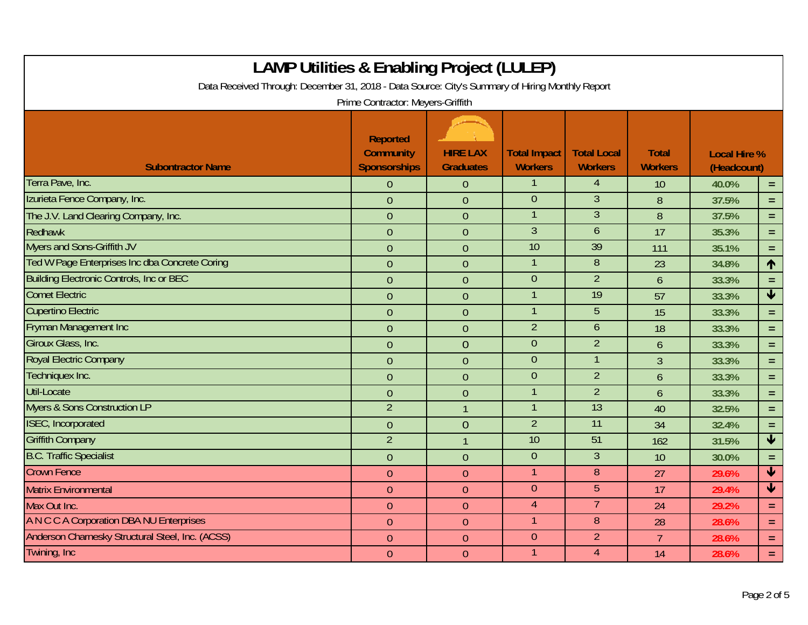| <b>LAMP Utilities &amp; Enabling Project (LULEP)</b><br>Data Received Through: December 31, 2018 - Data Source: City's Summary of Hiring Monthly Report |                                                                                                 |                                     |                                       |                                      |                                |                                    |                         |  |
|---------------------------------------------------------------------------------------------------------------------------------------------------------|-------------------------------------------------------------------------------------------------|-------------------------------------|---------------------------------------|--------------------------------------|--------------------------------|------------------------------------|-------------------------|--|
| <b>Subontractor Name</b>                                                                                                                                | Prime Contractor: Meyers-Griffith<br><b>Reported</b><br><b>Community</b><br><b>Sponsorships</b> | <b>HIRE LAX</b><br><b>Graduates</b> | <b>Total Impact</b><br><b>Workers</b> | <b>Total Local</b><br><b>Workers</b> | <b>Total</b><br><b>Workers</b> | <b>Local Hire %</b><br>(Headcount) |                         |  |
| Terra Pave, Inc.                                                                                                                                        | $\Omega$                                                                                        | $\theta$                            |                                       | $\overline{4}$                       | 10                             | 40.0%                              | $=$                     |  |
| Izurieta Fence Company, Inc.                                                                                                                            | $\overline{0}$                                                                                  | $\overline{0}$                      | $\boldsymbol{0}$                      | 3                                    | 8                              | 37.5%                              | $=$                     |  |
| The J.V. Land Clearing Company, Inc.                                                                                                                    | $\overline{0}$                                                                                  | $\overline{0}$                      | 1                                     | $\overline{3}$                       | 8                              | 37.5%                              | $\equiv$                |  |
| Redhawk                                                                                                                                                 | $\overline{0}$                                                                                  | $\overline{0}$                      | $\overline{3}$                        | 6                                    | 17                             | 35.3%                              | $\equiv$                |  |
| <b>Myers and Sons-Griffith JV</b>                                                                                                                       | $\overline{0}$                                                                                  | $\theta$                            | 10                                    | 39                                   | 111                            | 35.1%                              | $=$                     |  |
| Ted W Page Enterprises Inc dba Concrete Coring                                                                                                          | $\overline{0}$                                                                                  | $\overline{0}$                      | $\mathbf{1}$                          | 8                                    | 23                             | 34.8%                              | $\uparrow$              |  |
| <b>Building Electronic Controls, Inc or BEC</b>                                                                                                         | $\overline{0}$                                                                                  | $\overline{0}$                      | $\overline{0}$                        | $\overline{2}$                       | 6                              | 33.3%                              | $\equiv$                |  |
| <b>Comet Electric</b>                                                                                                                                   | $\overline{0}$                                                                                  | $\theta$                            | $\mathbf{1}$                          | $\overline{19}$                      | 57                             | 33.3%                              | $\overline{\textbf{t}}$ |  |
| <b>Cupertino Electric</b>                                                                                                                               | $\overline{0}$                                                                                  | $\overline{0}$                      | $\overline{1}$                        | 5                                    | 15                             | 33.3%                              | $\equiv$                |  |
| <b>Fryman Management Inc</b>                                                                                                                            | $\overline{0}$                                                                                  | $\boldsymbol{0}$                    | $\overline{2}$                        | 6                                    | 18                             | 33.3%                              | $\equiv$                |  |
| Giroux Glass, Inc.                                                                                                                                      | $\theta$                                                                                        | $\overline{0}$                      | $\mathbf{0}$                          | $\overline{2}$                       | 6                              | 33.3%                              | $\equiv$                |  |
| Royal Electric Company                                                                                                                                  | $\overline{0}$                                                                                  | $\overline{0}$                      | $\overline{0}$                        |                                      | 3                              | 33.3%                              | $=$                     |  |
| Techniquex Inc.                                                                                                                                         | $\overline{0}$                                                                                  | $\overline{0}$                      | $\overline{0}$                        | $\overline{2}$                       | 6                              | 33.3%                              | $\equiv$                |  |
| <b>Util-Locate</b>                                                                                                                                      | $\theta$                                                                                        | $\overline{0}$                      | $\mathbf{1}$                          | $\overline{2}$                       | 6                              | 33.3%                              | $=$                     |  |
| <b>Myers &amp; Sons Construction LP</b>                                                                                                                 | $\overline{2}$                                                                                  | $\mathbf{1}$                        | $\mathbf{1}$                          | $\overline{13}$                      | 40                             | 32.5%                              | $\equiv$                |  |
| <b>ISEC, Incorporated</b>                                                                                                                               | $\mathbf 0$                                                                                     | $\overline{0}$                      | $\overline{2}$                        | 11                                   | 34                             | 32.4%                              | $\equiv$                |  |
| <b>Griffith Company</b>                                                                                                                                 | $\overline{2}$                                                                                  | $\overline{1}$                      | 10                                    | 51                                   | 162                            | 31.5%                              | $\blacklozenge$         |  |
| <b>B.C. Traffic Specialist</b>                                                                                                                          | $\overline{0}$                                                                                  | $\overline{0}$                      | $\overline{0}$                        | $\overline{3}$                       | 10                             | 30.0%                              | $\equiv$                |  |
| <b>Crown Fence</b>                                                                                                                                      | $\overline{0}$                                                                                  | $\theta$                            | $\mathbf{1}$                          | 8                                    | 27                             | 29.6%                              | $\overline{\textbf{v}}$ |  |
| <b>Matrix Environmental</b>                                                                                                                             | $\overline{0}$                                                                                  | $\theta$                            | $\mathbf{0}$                          | 5                                    | 17                             | 29.4%                              | $\blacklozenge$         |  |
| Max Out Inc.                                                                                                                                            | $\theta$                                                                                        | $\theta$                            | $\overline{4}$                        | $\overline{7}$                       | 24                             | 29.2%                              | $\equiv$                |  |
| A N C C A Corporation DBA NU Enterprises                                                                                                                | $\overline{0}$                                                                                  | $\overline{0}$                      | $\mathbf{1}$                          | 8                                    | 28                             | 28.6%                              | $\equiv$                |  |
| Anderson Charnesky Structural Steel, Inc. (ACSS)                                                                                                        | $\overline{0}$                                                                                  | $\theta$                            | $\mathbf{0}$                          | $\overline{2}$                       | $\overline{7}$                 | 28.6%                              | $\equiv$                |  |
| Twining, Inc.                                                                                                                                           | $\overline{0}$                                                                                  | $\overline{0}$                      | $\mathbf{1}$                          | $\overline{4}$                       | 14                             | 28.6%                              | $\equiv$                |  |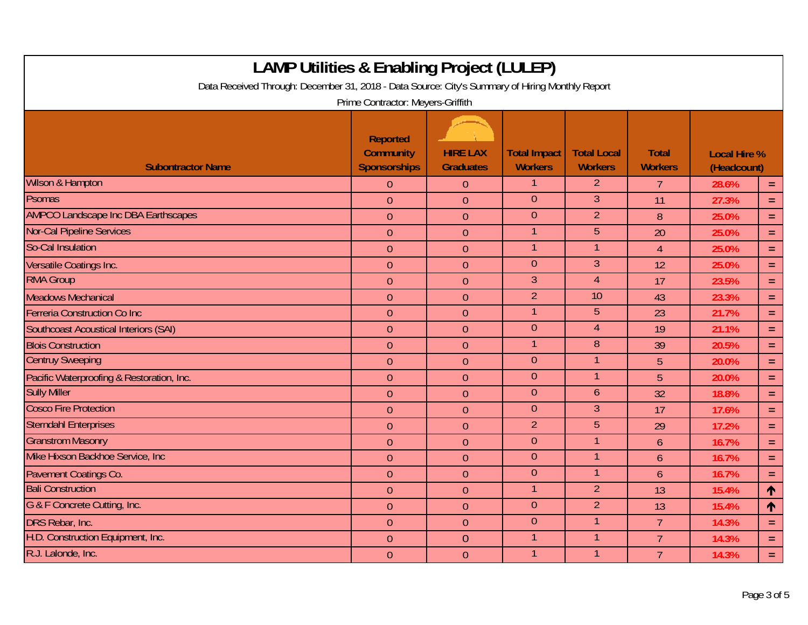| <b>LAMP Utilities &amp; Enabling Project (LULEP)</b>                                                                                 |                                                            |                                     |                                       |                                      |                                |                                    |                 |  |
|--------------------------------------------------------------------------------------------------------------------------------------|------------------------------------------------------------|-------------------------------------|---------------------------------------|--------------------------------------|--------------------------------|------------------------------------|-----------------|--|
| Data Received Through: December 31, 2018 - Data Source: City's Summary of Hiring Monthly Report<br>Prime Contractor: Meyers-Griffith |                                                            |                                     |                                       |                                      |                                |                                    |                 |  |
| <b>Subontractor Name</b>                                                                                                             | <b>Reported</b><br><b>Community</b><br><b>Sponsorships</b> | <b>HIRE LAX</b><br><b>Graduates</b> | <b>Total Impact</b><br><b>Workers</b> | <b>Total Local</b><br><b>Workers</b> | <b>Total</b><br><b>Workers</b> | <b>Local Hire %</b><br>(Headcount) |                 |  |
| <b>Wilson &amp; Hampton</b>                                                                                                          | $\overline{0}$                                             | $\overline{0}$                      | 1                                     | $\overline{2}$                       | $\overline{7}$                 | 28.6%                              | $\equiv$        |  |
| Psomas                                                                                                                               | $\overline{0}$                                             | $\overline{0}$                      | $\theta$                              | $\mathfrak{Z}$                       | 11                             | 27.3%                              | $\equiv$        |  |
| <b>AMPCO Landscape Inc DBA Earthscapes</b>                                                                                           | $\overline{0}$                                             | $\overline{0}$                      | $\mathbf{0}$                          | $\overline{2}$                       | 8                              | 25.0%                              | $\equiv$        |  |
| <b>Nor-Cal Pipeline Services</b>                                                                                                     | $\overline{0}$                                             | $\overline{0}$                      | 1                                     | 5                                    | 20                             | 25.0%                              | $\equiv$        |  |
| So-Cal Insulation                                                                                                                    | $\theta$                                                   | $\theta$                            | 1                                     | $\mathbf{1}$                         | $\overline{4}$                 | 25.0%                              | $\equiv$        |  |
| Versatile Coatings Inc.                                                                                                              | $\overline{0}$                                             | $\overline{0}$                      | $\overline{0}$                        | $\overline{3}$                       | 12                             | 25.0%                              | $\equiv$        |  |
| <b>RMA Group</b>                                                                                                                     | $\overline{0}$                                             | $\overline{0}$                      | 3                                     | $\overline{4}$                       | 17                             | 23.5%                              | $\equiv$        |  |
| <b>Meadows Mechanical</b>                                                                                                            | $\overline{0}$                                             | $\overline{0}$                      | $\overline{2}$                        | 10                                   | 43                             | 23.3%                              | $\equiv$        |  |
| Ferreria Construction Co Inc                                                                                                         | $\theta$                                                   | $\overline{0}$                      | 1                                     | 5                                    | 23                             | 21.7%                              | $\equiv$        |  |
| <b>Southcoast Acoustical Interiors (SAI)</b>                                                                                         | $\theta$                                                   | $\mathbf{0}$                        | $\theta$                              | $\overline{4}$                       | 19                             | 21.1%                              | $\equiv$        |  |
| <b>Blois Construction</b>                                                                                                            | $\overline{0}$                                             | $\overline{0}$                      | 1                                     | 8                                    | 39                             | 20.5%                              | $\equiv$        |  |
| <b>Centruy Sweeping</b>                                                                                                              | $\overline{0}$                                             | $\overline{0}$                      | $\overline{0}$                        | $\mathbf{1}$                         | 5                              | 20.0%                              | $\equiv$        |  |
| Pacific Waterproofing & Restoration, Inc.                                                                                            | $\overline{0}$                                             | $\overline{0}$                      | $\theta$                              | $\mathbf{1}$                         | 5                              | 20.0%                              | $\equiv$        |  |
| <b>Sully Miller</b>                                                                                                                  | $\overline{0}$                                             | $\mathbf{0}$                        | $\overline{0}$                        | $\overline{6}$                       | 32                             | 18.8%                              | $\equiv$        |  |
| <b>Cosco Fire Protection</b>                                                                                                         | $\overline{0}$                                             | $\overline{0}$                      | $\theta$                              | 3                                    | 17                             | 17.6%                              | $\equiv$        |  |
| <b>Sterndahl Enterprises</b>                                                                                                         | $\theta$                                                   | $\overline{0}$                      | $\overline{2}$                        | $\overline{5}$                       | 29                             | 17.2%                              | $\equiv$        |  |
| <b>Granstrom Masonry</b>                                                                                                             | $\overline{0}$                                             | $\overline{0}$                      | $\overline{0}$                        | $\mathbf{1}$                         | 6                              | 16.7%                              | $\equiv$        |  |
| Mike Hixson Backhoe Service, Inc.                                                                                                    | $\overline{0}$                                             | $\theta$                            | $\theta$                              | $\mathbf{1}$                         | $\boldsymbol{6}$               | 16.7%                              | $\equiv$        |  |
| Pavement Coatings Co.                                                                                                                | $\overline{0}$                                             | $\overline{0}$                      | $\overline{0}$                        |                                      | 6                              | 16.7%                              | $=$             |  |
| <b>Bali Construction</b>                                                                                                             | $\overline{0}$                                             | $\overline{0}$                      | 1                                     | $\overline{2}$                       | 13                             | 15.4%                              | $\blacklozenge$ |  |
| G & F Concrete Cutting, Inc.                                                                                                         | $\theta$                                                   | $\overline{0}$                      | $\theta$                              | $\overline{2}$                       | 13                             | 15.4%                              | $\blacklozenge$ |  |
| <b>DRS Rebar, Inc.</b>                                                                                                               | $\overline{0}$                                             | $\overline{0}$                      | $\boldsymbol{0}$                      | $\mathbf{1}$                         | $\overline{7}$                 | 14.3%                              | $\equiv$        |  |
| H.D. Construction Equipment, Inc.                                                                                                    | $\overline{0}$                                             | $\overline{0}$                      | 1                                     | $\mathbf{1}$                         | $\overline{7}$                 | 14.3%                              | $\equiv$        |  |
| R.J. Lalonde, Inc.                                                                                                                   | $\theta$                                                   | $\overline{0}$                      | 1                                     | $\mathbf{1}$                         | $\overline{7}$                 | 14.3%                              | $\equiv$        |  |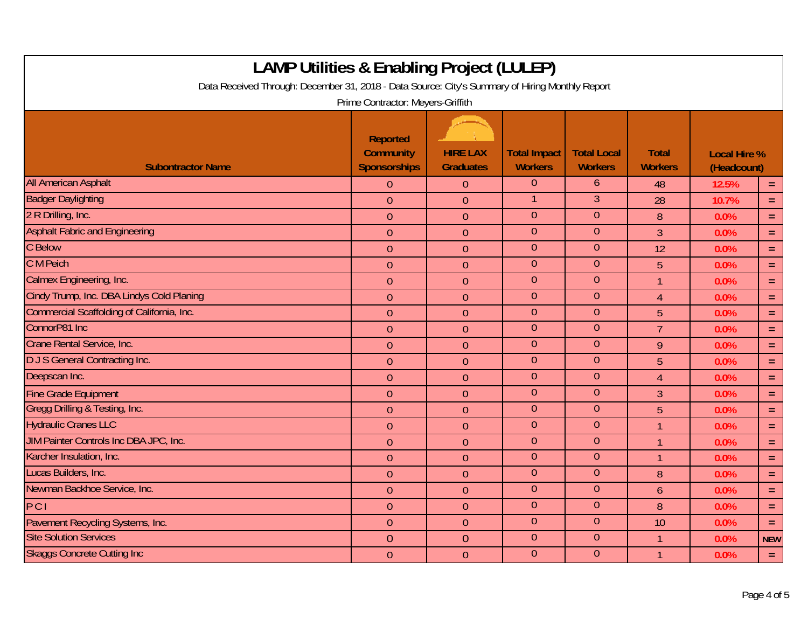| <b>LAMP Utilities &amp; Enabling Project (LULEP)</b>                                                                                 |                                                            |                                     |                                       |                                      |                                |                                    |            |  |
|--------------------------------------------------------------------------------------------------------------------------------------|------------------------------------------------------------|-------------------------------------|---------------------------------------|--------------------------------------|--------------------------------|------------------------------------|------------|--|
| Data Received Through: December 31, 2018 - Data Source: City's Summary of Hiring Monthly Report<br>Prime Contractor: Meyers-Griffith |                                                            |                                     |                                       |                                      |                                |                                    |            |  |
| <b>Subontractor Name</b>                                                                                                             | <b>Reported</b><br><b>Community</b><br><b>Sponsorships</b> | <b>HIRE LAX</b><br><b>Graduates</b> | <b>Total Impact</b><br><b>Workers</b> | <b>Total Local</b><br><b>Workers</b> | <b>Total</b><br><b>Workers</b> | <b>Local Hire %</b><br>(Headcount) |            |  |
| <b>All American Asphalt</b>                                                                                                          | $\overline{0}$                                             | $\overline{0}$                      | $\overline{0}$                        | $\overline{6}$                       | 48                             | 12.5%                              | $=$        |  |
| <b>Badger Daylighting</b>                                                                                                            | $\overline{0}$                                             | $\overline{0}$                      | 1                                     | 3                                    | 28                             | 10.7%                              | $\equiv$   |  |
| 2 R Drilling, Inc.                                                                                                                   | $\overline{0}$                                             | $\overline{0}$                      | $\overline{0}$                        | $\overline{0}$                       | 8                              | 0.0%                               | $\equiv$   |  |
| <b>Asphalt Fabric and Engineering</b>                                                                                                | $\theta$                                                   | $\overline{0}$                      | $\boldsymbol{0}$                      | $\overline{0}$                       | 3                              | 0.0%                               | $\equiv$   |  |
| C Below                                                                                                                              | $\overline{0}$                                             | $\overline{0}$                      | $\theta$                              | $\overline{0}$                       | 12                             | 0.0%                               | $\equiv$   |  |
| C M Peich                                                                                                                            | $\overline{0}$                                             | $\overline{0}$                      | $\overline{0}$                        | $\overline{0}$                       | 5                              | 0.0%                               | $\equiv$   |  |
| Calmex Engineering, Inc.                                                                                                             | $\overline{0}$                                             | $\theta$                            | $\mathbf{0}$                          | $\overline{0}$                       | 1                              | 0.0%                               | $\equiv$   |  |
| Cindy Trump, Inc. DBA Lindys Cold Planing                                                                                            | $\theta$                                                   | $\overline{0}$                      | $\theta$                              | $\overline{0}$                       | 4                              | 0.0%                               | $\equiv$   |  |
| Commercial Scaffolding of California, Inc.                                                                                           | $\overline{0}$                                             | $\overline{0}$                      | $\overline{0}$                        | $\overline{0}$                       | 5                              | 0.0%                               | $\equiv$   |  |
| ConnorP81 Inc                                                                                                                        | $\overline{0}$                                             | $\theta$                            | $\boldsymbol{0}$                      | $\overline{0}$                       | $\overline{7}$                 | 0.0%                               | $\equiv$   |  |
| Crane Rental Service, Inc.                                                                                                           | $\overline{0}$                                             | $\overline{0}$                      | $\mathbf{0}$                          | $\overline{0}$                       | 9                              | 0.0%                               | $\equiv$   |  |
| <b>DJS</b> General Contracting Inc.                                                                                                  | $\overline{0}$                                             | $\overline{0}$                      | $\overline{0}$                        | $\overline{0}$                       | 5                              | 0.0%                               | $\equiv$   |  |
| Deepscan Inc.                                                                                                                        | $\overline{0}$                                             | $\theta$                            | $\overline{0}$                        | $\overline{0}$                       | 4                              | 0.0%                               | $\equiv$   |  |
| <b>Fine Grade Equipment</b>                                                                                                          | $\overline{0}$                                             | $\overline{0}$                      | $\mathbf{0}$                          | $\overline{0}$                       | 3                              | 0.0%                               | $\equiv$   |  |
| Gregg Drilling & Testing, Inc.                                                                                                       | $\theta$                                                   | $\theta$                            | $\mathbf{0}$                          | $\overline{0}$                       | 5                              | 0.0%                               | $\equiv$   |  |
| <b>Hydraulic Cranes LLC</b>                                                                                                          | $\overline{0}$                                             | $\overline{0}$                      | $\theta$                              | $\overline{0}$                       | $\mathbf{1}$                   | 0.0%                               | $\equiv$   |  |
| JIM Painter Controls Inc DBA JPC, Inc.                                                                                               | $\overline{0}$                                             | $\overline{0}$                      | $\overline{0}$                        | $\overline{0}$                       | $\mathbf{1}$                   | 0.0%                               | $\equiv$   |  |
| Karcher Insulation, Inc.                                                                                                             | $\overline{0}$                                             | $\theta$                            | $\overline{0}$                        | $\overline{0}$                       | $\overline{1}$                 | 0.0%                               | $\equiv$   |  |
| Lucas Builders, Inc.                                                                                                                 | $\overline{0}$                                             | $\overline{0}$                      | $\overline{0}$                        | $\overline{0}$                       | 8                              | 0.0%                               | $\equiv$   |  |
| Newman Backhoe Service, Inc.                                                                                                         | $\overline{0}$                                             | $\overline{0}$                      | $\overline{0}$                        | $\overline{0}$                       | 6                              | 0.0%                               | $\equiv$   |  |
| PCI                                                                                                                                  | $\theta$                                                   | $\theta$                            | $\boldsymbol{0}$                      | $\overline{0}$                       | 8                              | 0.0%                               | $\equiv$   |  |
| Pavement Recycling Systems, Inc.                                                                                                     | $\overline{0}$                                             | $\overline{0}$                      | $\mathbf{0}$                          | $\theta$                             | 10                             | 0.0%                               | $=$        |  |
| <b>Site Solution Services</b>                                                                                                        | $\overline{0}$                                             | $\overline{0}$                      | $\overline{0}$                        | $\overline{0}$                       | $\mathbf{1}$                   | 0.0%                               | <b>NEW</b> |  |
| <b>Skaggs Concrete Cutting Inc</b>                                                                                                   | $\overline{0}$                                             | $\theta$                            | $\theta$                              | $\overline{0}$                       | 1                              | 0.0%                               | $\equiv$   |  |